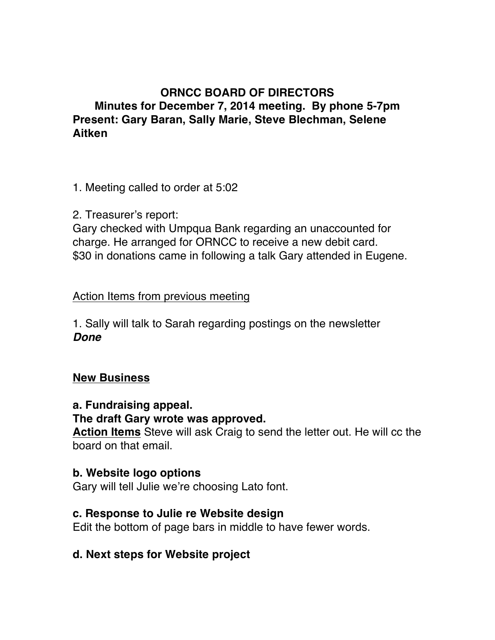# **ORNCC BOARD OF DIRECTORS Minutes for December 7, 2014 meeting. By phone 5-7pm Present: Gary Baran, Sally Marie, Steve Blechman, Selene Aitken**

1. Meeting called to order at 5:02

2. Treasurer's report:

Gary checked with Umpqua Bank regarding an unaccounted for charge. He arranged for ORNCC to receive a new debit card. \$30 in donations came in following a talk Gary attended in Eugene.

## Action Items from previous meeting

1. Sally will talk to Sarah regarding postings on the newsletter *Done*

#### **New Business**

## **a. Fundraising appeal.**

#### **The draft Gary wrote was approved.**

**Action Items** Steve will ask Craig to send the letter out. He will cc the board on that email.

#### **b. Website logo options**

Gary will tell Julie we're choosing Lato font.

#### **c. Response to Julie re Website design**

Edit the bottom of page bars in middle to have fewer words.

## **d. Next steps for Website project**